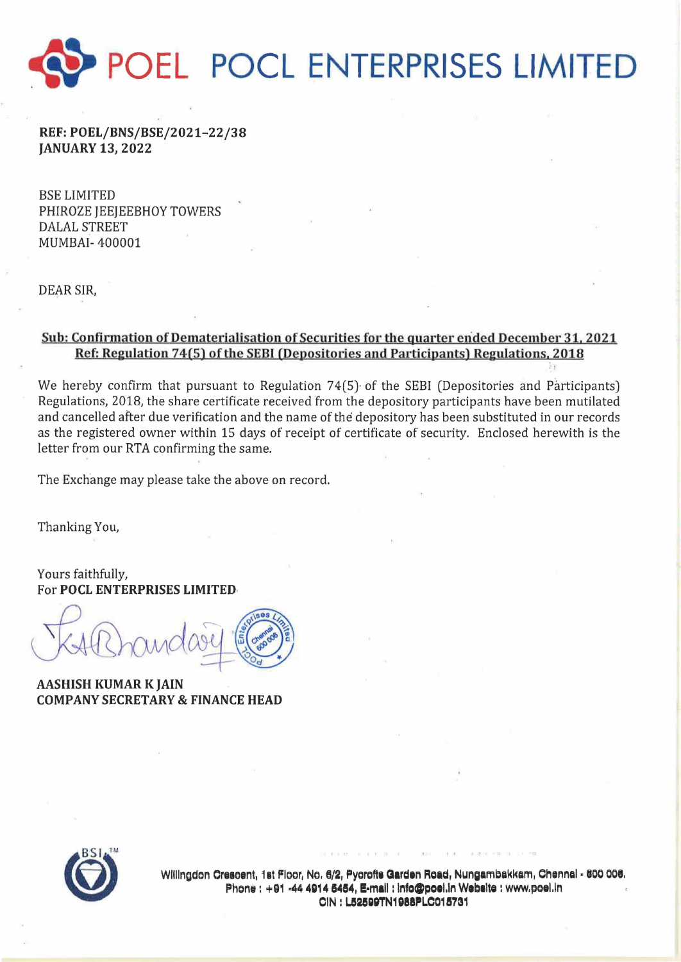

REF:POEL/BNS/BSE/2021-22/38 JANUARY 13,2022

BSE LIMITED PHIROZE JEEJEEBHOY TOWERS DALAL STREET MUMBAI- 400001

DEAR SIR,

## Sub: Confirmation of Dematerialisation of Securities for the quarter ended December 31, 2021 Ref: Regulation 74(5) of the SEBI (Depositories and Participants) Regulations, 2018

We hereby confirm that pursuant to Regulation 74(5) of the SEBI (Depositories and Participants) Regulations, 2018, the share certificate received from the depository participants have been mutilated and cancelled after due verification and the name of the depository has been substituted in our records as the registered owner within 15 days of receipt of certificate of security. Enclosed herewith is the letter from our RTA confirming the same.

The Exchange may please take the above on record.

Thanking You,

Yours faithfully, For POCL ENTERPRISES LIMITED·

AASHISH KUMAR K JAIN COMPANY SECRETARY & FINANCE HEAD



Willingdon Crescent, 1st Floor, No. 6/2, Pycrofts Garden Road, Nungambakkam, Chennai - 600 006. Phone: +91 -44 4914 5454, E-mail: info@poei.in Website: www.poei.in CIN : L52599TN1988PLC015731

t.